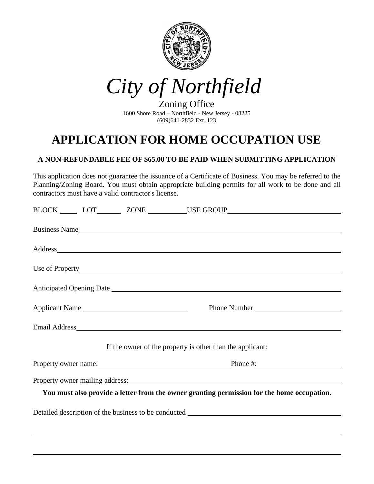

*City of Northfield*

Zoning Office 1600 Shore Road – Northfield - New Jersey - 08225 (609)641-2832 Ext. 123

## **APPLICATION FOR HOME OCCUPATION USE**

## **A NON-REFUNDABLE FEE OF \$65.00 TO BE PAID WHEN SUBMITTING APPLICATION**

This application does not guarantee the issuance of a Certificate of Business. You may be referred to the Planning/Zoning Board. You must obtain appropriate building permits for all work to be done and all contractors must have a valid contractor's license.

|  |  |                | BLOCK _______ LOT_________ ZONE ___________USE GROUP____________________________                                                                                                                                               |  |
|--|--|----------------|--------------------------------------------------------------------------------------------------------------------------------------------------------------------------------------------------------------------------------|--|
|  |  |                | Business Name                                                                                                                                                                                                                  |  |
|  |  |                | Address and the contract of the contract of the contract of the contract of the contract of the contract of the contract of the contract of the contract of the contract of the contract of the contract of the contract of th |  |
|  |  |                |                                                                                                                                                                                                                                |  |
|  |  |                |                                                                                                                                                                                                                                |  |
|  |  | Applicant Name | Phone Number                                                                                                                                                                                                                   |  |
|  |  |                |                                                                                                                                                                                                                                |  |
|  |  |                | If the owner of the property is other than the applicant:                                                                                                                                                                      |  |
|  |  |                |                                                                                                                                                                                                                                |  |
|  |  |                | Property owner mailing address: North Management Communication of the Management Communication of the Management Communication of the Management Communication of the Management Communication of the Management Communication |  |
|  |  |                | You must also provide a letter from the owner granting permission for the home occupation.                                                                                                                                     |  |
|  |  |                |                                                                                                                                                                                                                                |  |
|  |  |                |                                                                                                                                                                                                                                |  |